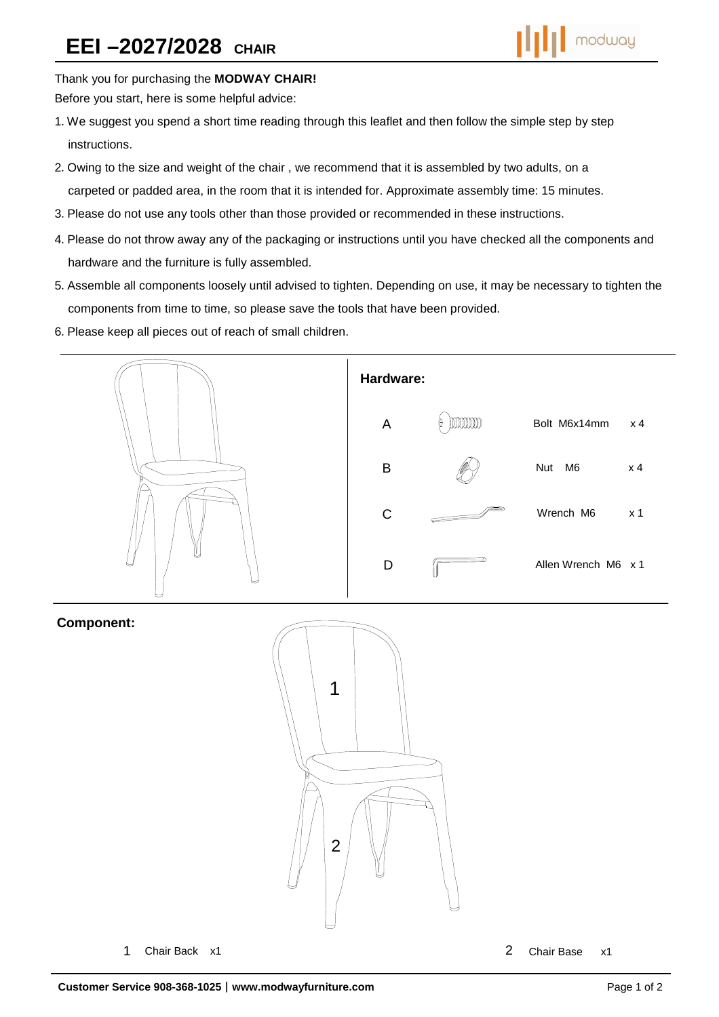

Thank you for purchasing the **MODWAY CHAIR!** 

Before you start, here is some helpful advice:

- 1.We suggest you spend a short time reading through this leaflet and then follow the simple step by step instructions.
- 2.Owing to the size and weight of the chair , we recommend that it is assembled by two adults, on a carpeted or padded area, in the room that it is intended for. Approximate assembly time: 15 minutes.
- 3.Please do not use any tools other than those provided or recommended in these instructions.
- 4.Please do not throw away any of the packaging or instructions until you have checked all the components and hardware and the furniture is fully assembled.
- 5.Assemble all components loosely until advised to tighten. Depending on use, it may be necessary to tighten the components from time to time, so please save the tools that have been provided.
- 6.Please keep all pieces out of reach of small children.



## **Component:**



1 Chair Back x1 2 Chair Base x1